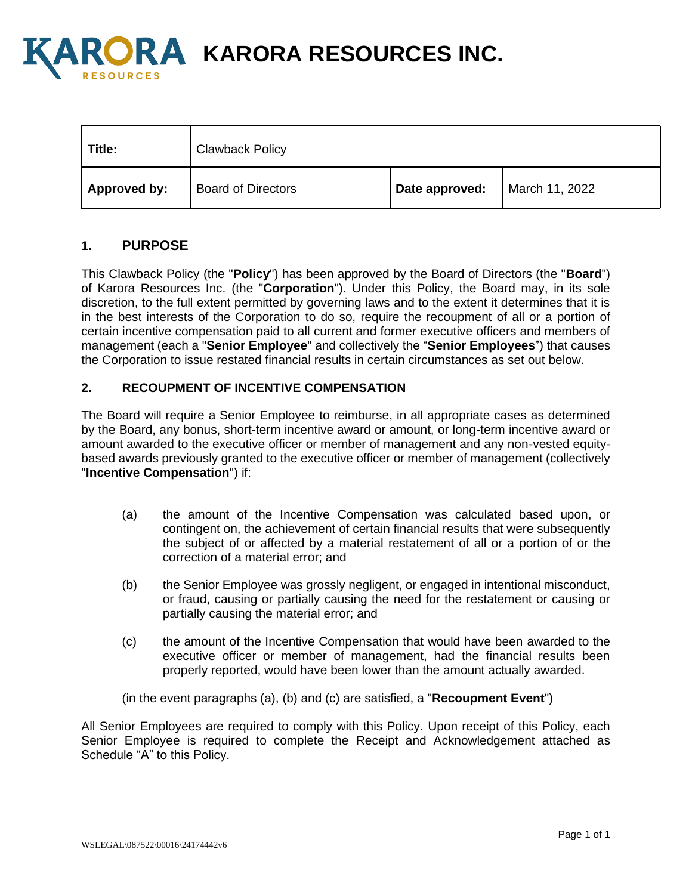

**A KARORA RESOURCES INC.** 

| Title:       | <b>Clawback Policy</b>    |                |                |
|--------------|---------------------------|----------------|----------------|
| Approved by: | <b>Board of Directors</b> | Date approved: | March 11, 2022 |

# **1. PURPOSE**

This Clawback Policy (the "**Policy**") has been approved by the Board of Directors (the "**Board**") of Karora Resources Inc. (the "**Corporation**"). Under this Policy, the Board may, in its sole discretion, to the full extent permitted by governing laws and to the extent it determines that it is in the best interests of the Corporation to do so, require the recoupment of all or a portion of certain incentive compensation paid to all current and former executive officers and members of management (each a "**Senior Employee**" and collectively the "**Senior Employees**") that causes the Corporation to issue restated financial results in certain circumstances as set out below.

## **2. RECOUPMENT OF INCENTIVE COMPENSATION**

The Board will require a Senior Employee to reimburse, in all appropriate cases as determined by the Board, any bonus, short-term incentive award or amount, or long-term incentive award or amount awarded to the executive officer or member of management and any non-vested equitybased awards previously granted to the executive officer or member of management (collectively "**Incentive Compensation**") if:

- (a) the amount of the Incentive Compensation was calculated based upon, or contingent on, the achievement of certain financial results that were subsequently the subject of or affected by a material restatement of all or a portion of or the correction of a material error; and
- (b) the Senior Employee was grossly negligent, or engaged in intentional misconduct, or fraud, causing or partially causing the need for the restatement or causing or partially causing the material error; and
- (c) the amount of the Incentive Compensation that would have been awarded to the executive officer or member of management, had the financial results been properly reported, would have been lower than the amount actually awarded.
- (in the event paragraphs (a), (b) and (c) are satisfied, a "**Recoupment Event**")

All Senior Employees are required to comply with this Policy. Upon receipt of this Policy, each Senior Employee is required to complete the Receipt and Acknowledgement attached as Schedule "A" to this Policy.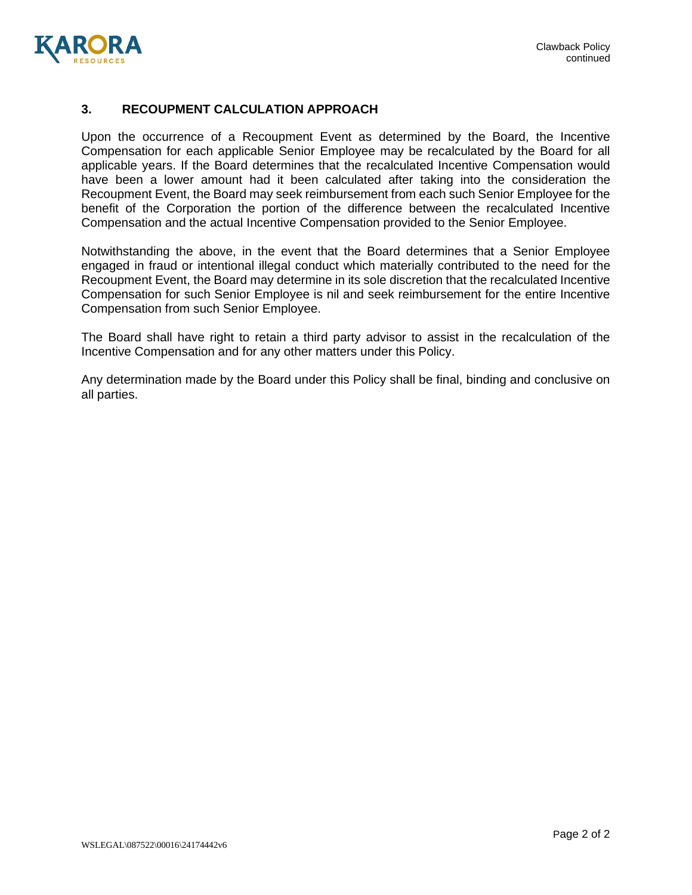

## **3. RECOUPMENT CALCULATION APPROACH**

Upon the occurrence of a Recoupment Event as determined by the Board, the Incentive Compensation for each applicable Senior Employee may be recalculated by the Board for all applicable years. If the Board determines that the recalculated Incentive Compensation would have been a lower amount had it been calculated after taking into the consideration the Recoupment Event, the Board may seek reimbursement from each such Senior Employee for the benefit of the Corporation the portion of the difference between the recalculated Incentive Compensation and the actual Incentive Compensation provided to the Senior Employee.

Notwithstanding the above, in the event that the Board determines that a Senior Employee engaged in fraud or intentional illegal conduct which materially contributed to the need for the Recoupment Event, the Board may determine in its sole discretion that the recalculated Incentive Compensation for such Senior Employee is nil and seek reimbursement for the entire Incentive Compensation from such Senior Employee.

The Board shall have right to retain a third party advisor to assist in the recalculation of the Incentive Compensation and for any other matters under this Policy.

Any determination made by the Board under this Policy shall be final, binding and conclusive on all parties.